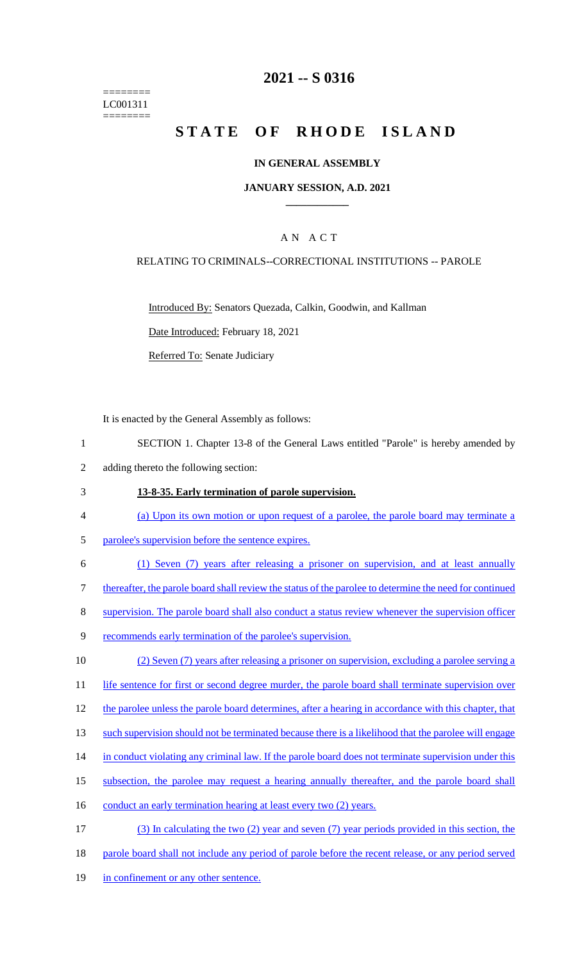======== LC001311 ========

# **2021 -- S 0316**

# **STATE OF RHODE ISLAND**

### **IN GENERAL ASSEMBLY**

### **JANUARY SESSION, A.D. 2021 \_\_\_\_\_\_\_\_\_\_\_\_**

### A N A C T

### RELATING TO CRIMINALS--CORRECTIONAL INSTITUTIONS -- PAROLE

Introduced By: Senators Quezada, Calkin, Goodwin, and Kallman

Date Introduced: February 18, 2021

Referred To: Senate Judiciary

It is enacted by the General Assembly as follows:

- 1 SECTION 1. Chapter 13-8 of the General Laws entitled "Parole" is hereby amended by
- 2 adding thereto the following section:

#### 3 **13-8-35. Early termination of parole supervision.**

- 4 (a) Upon its own motion or upon request of a parolee, the parole board may terminate a
- 5 parolee's supervision before the sentence expires.
- 6 (1) Seven (7) years after releasing a prisoner on supervision, and at least annually

7 thereafter, the parole board shall review the status of the parolee to determine the need for continued

8 supervision. The parole board shall also conduct a status review whenever the supervision officer

9 recommends early termination of the parolee's supervision.

10 (2) Seven (7) years after releasing a prisoner on supervision, excluding a parolee serving a

11 life sentence for first or second degree murder, the parole board shall terminate supervision over

- 12 the parolee unless the parole board determines, after a hearing in accordance with this chapter, that
- 13 such supervision should not be terminated because there is a likelihood that the parolee will engage
- 14 in conduct violating any criminal law. If the parole board does not terminate supervision under this
- 15 subsection, the parolee may request a hearing annually thereafter, and the parole board shall
- 16 conduct an early termination hearing at least every two (2) years.
- 17 (3) In calculating the two (2) year and seven (7) year periods provided in this section, the
- 18 parole board shall not include any period of parole before the recent release, or any period served
- 19 in confinement or any other sentence.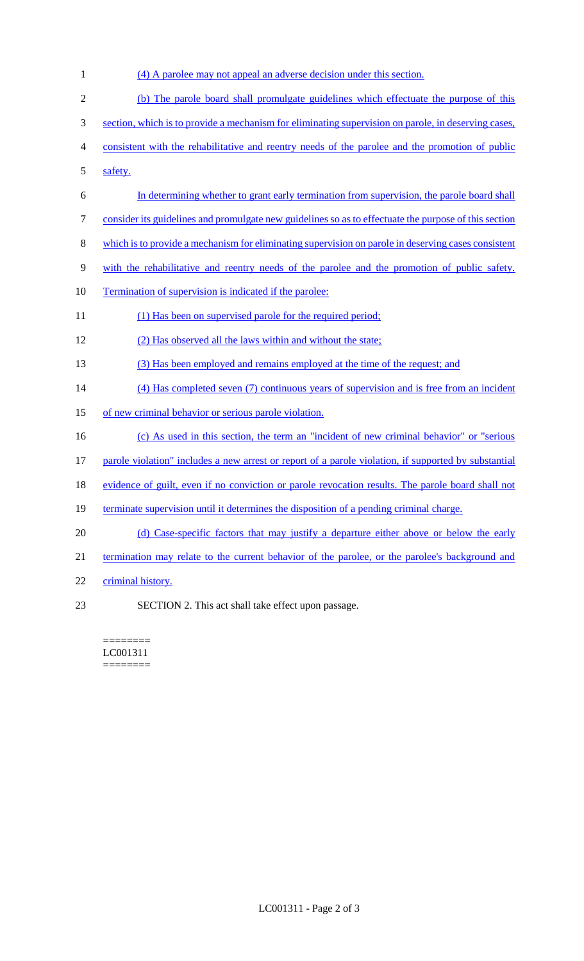(4) A parolee may not appeal an adverse decision under this section. (b) The parole board shall promulgate guidelines which effectuate the purpose of this section, which is to provide a mechanism for eliminating supervision on parole, in deserving cases, consistent with the rehabilitative and reentry needs of the parolee and the promotion of public safety. In determining whether to grant early termination from supervision, the parole board shall consider its guidelines and promulgate new guidelines so as to effectuate the purpose of this section which is to provide a mechanism for eliminating supervision on parole in deserving cases consistent with the rehabilitative and reentry needs of the parolee and the promotion of public safety. 10 Termination of supervision is indicated if the parolee: 11 (1) Has been on supervised parole for the required period; (2) Has observed all the laws within and without the state; (3) Has been employed and remains employed at the time of the request; and (4) Has completed seven (7) continuous years of supervision and is free from an incident of new criminal behavior or serious parole violation. (c) As used in this section, the term an "incident of new criminal behavior" or "serious parole violation" includes a new arrest or report of a parole violation, if supported by substantial 18 evidence of guilt, even if no conviction or parole revocation results. The parole board shall not 19 terminate supervision until it determines the disposition of a pending criminal charge. 20 (d) Case-specific factors that may justify a departure either above or below the early 21 termination may relate to the current behavior of the parolee, or the parolee's background and criminal history. SECTION 2. This act shall take effect upon passage.

======== LC001311 ========